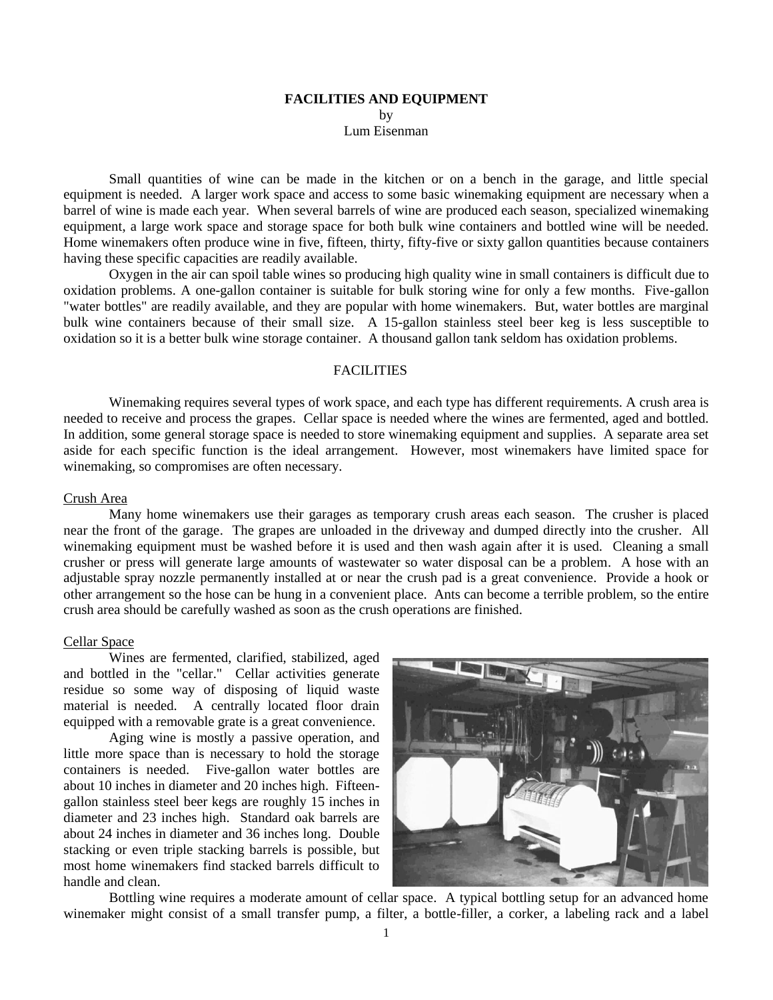# **FACILITIES AND EQUIPMENT**  by

## Lum Eisenman

Small quantities of wine can be made in the kitchen or on a bench in the garage, and little special equipment is needed. A larger work space and access to some basic winemaking equipment are necessary when a barrel of wine is made each year. When several barrels of wine are produced each season, specialized winemaking equipment, a large work space and storage space for both bulk wine containers and bottled wine will be needed. Home winemakers often produce wine in five, fifteen, thirty, fifty-five or sixty gallon quantities because containers having these specific capacities are readily available.

Oxygen in the air can spoil table wines so producing high quality wine in small containers is difficult due to oxidation problems. A one-gallon container is suitable for bulk storing wine for only a few months. Five-gallon "water bottles" are readily available, and they are popular with home winemakers. But, water bottles are marginal bulk wine containers because of their small size. A 15-gallon stainless steel beer keg is less susceptible to oxidation so it is a better bulk wine storage container. A thousand gallon tank seldom has oxidation problems.

## **FACILITIES**

Winemaking requires several types of work space, and each type has different requirements. A crush area is needed to receive and process the grapes. Cellar space is needed where the wines are fermented, aged and bottled. In addition, some general storage space is needed to store winemaking equipment and supplies. A separate area set aside for each specific function is the ideal arrangement. However, most winemakers have limited space for winemaking, so compromises are often necessary.

#### Crush Area

Many home winemakers use their garages as temporary crush areas each season. The crusher is placed near the front of the garage. The grapes are unloaded in the driveway and dumped directly into the crusher. All winemaking equipment must be washed before it is used and then wash again after it is used. Cleaning a small crusher or press will generate large amounts of wastewater so water disposal can be a problem. A hose with an adjustable spray nozzle permanently installed at or near the crush pad is a great convenience. Provide a hook or other arrangement so the hose can be hung in a convenient place. Ants can become a terrible problem, so the entire crush area should be carefully washed as soon as the crush operations are finished.

#### Cellar Space

Wines are fermented, clarified, stabilized, aged and bottled in the "cellar." Cellar activities generate residue so some way of disposing of liquid waste material is needed. A centrally located floor drain equipped with a removable grate is a great convenience.

Aging wine is mostly a passive operation, and little more space than is necessary to hold the storage containers is needed. Five-gallon water bottles are about 10 inches in diameter and 20 inches high. Fifteengallon stainless steel beer kegs are roughly 15 inches in diameter and 23 inches high. Standard oak barrels are about 24 inches in diameter and 36 inches long. Double stacking or even triple stacking barrels is possible, but most home winemakers find stacked barrels difficult to handle and clean.



Bottling wine requires a moderate amount of cellar space. A typical bottling setup for an advanced home winemaker might consist of a small transfer pump, a filter, a bottle-filler, a corker, a labeling rack and a label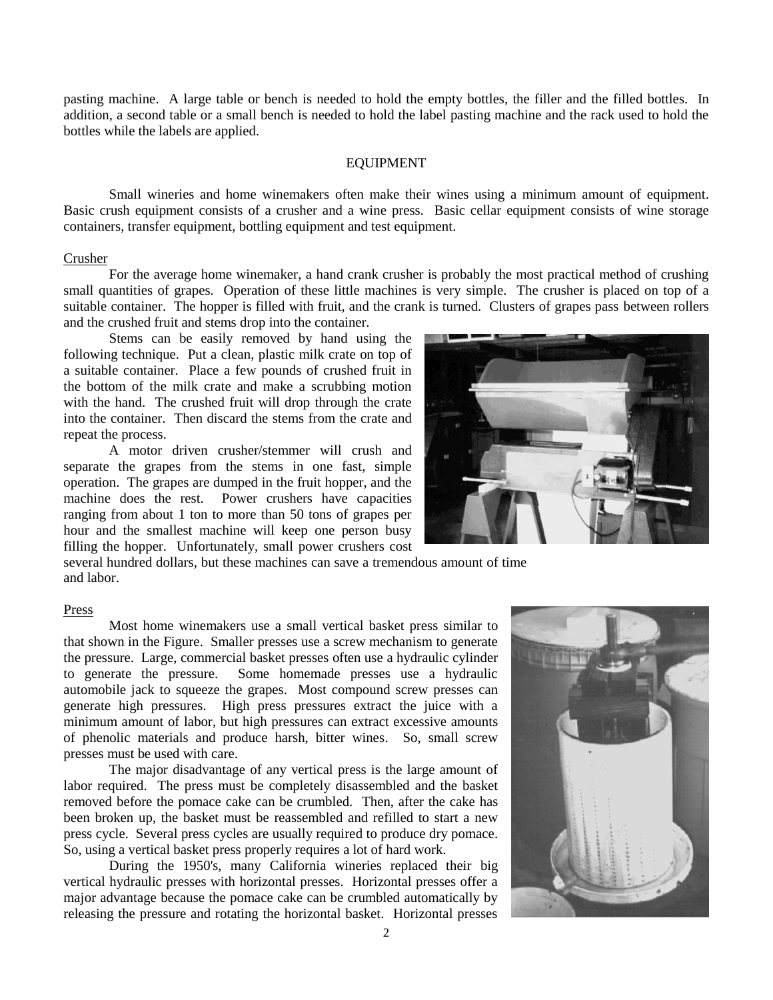pasting machine. A large table or bench is needed to hold the empty bottles, the filler and the filled bottles. In addition, a second table or a small bench is needed to hold the label pasting machine and the rack used to hold the bottles while the labels are applied.

# EQUIPMENT

Small wineries and home winemakers often make their wines using a minimum amount of equipment. Basic crush equipment consists of a crusher and a wine press. Basic cellar equipment consists of wine storage containers, transfer equipment, bottling equipment and test equipment.

## Crusher

For the average home winemaker, a hand crank crusher is probably the most practical method of crushing small quantities of grapes. Operation of these little machines is very simple. The crusher is placed on top of a suitable container. The hopper is filled with fruit, and the crank is turned. Clusters of grapes pass between rollers and the crushed fruit and stems drop into the container.

Stems can be easily removed by hand using the following technique. Put a clean, plastic milk crate on top of a suitable container. Place a few pounds of crushed fruit in the bottom of the milk crate and make a scrubbing motion with the hand. The crushed fruit will drop through the crate into the container. Then discard the stems from the crate and repeat the process.

A motor driven crusher/stemmer will crush and separate the grapes from the stems in one fast, simple operation. The grapes are dumped in the fruit hopper, and the machine does the rest. Power crushers have capacities ranging from about 1 ton to more than 50 tons of grapes per hour and the smallest machine will keep one person busy filling the hopper. Unfortunately, small power crushers cost

several hundred dollars, but these machines can save a tremendous amount of time and labor.

#### Press

Most home winemakers use a small vertical basket press similar to that shown in the Figure. Smaller presses use a screw mechanism to generate the pressure. Large, commercial basket presses often use a hydraulic cylinder to generate the pressure. Some homemade presses use a hydraulic automobile jack to squeeze the grapes. Most compound screw presses can generate high pressures. High press pressures extract the juice with a minimum amount of labor, but high pressures can extract excessive amounts of phenolic materials and produce harsh, bitter wines. So, small screw presses must be used with care.

The major disadvantage of any vertical press is the large amount of labor required. The press must be completely disassembled and the basket removed before the pomace cake can be crumbled. Then, after the cake has been broken up, the basket must be reassembled and refilled to start a new press cycle. Several press cycles are usually required to produce dry pomace. So, using a vertical basket press properly requires a lot of hard work.

During the 1950's, many California wineries replaced their big vertical hydraulic presses with horizontal presses. Horizontal presses offer a major advantage because the pomace cake can be crumbled automatically by releasing the pressure and rotating the horizontal basket. Horizontal presses



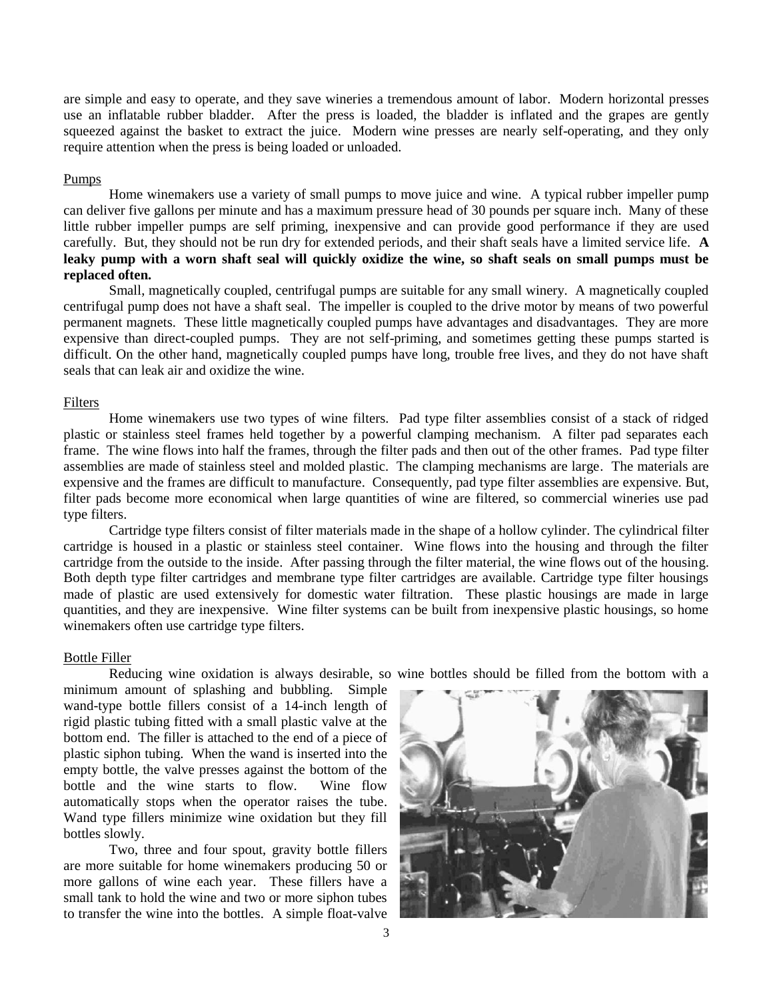are simple and easy to operate, and they save wineries a tremendous amount of labor. Modern horizontal presses use an inflatable rubber bladder. After the press is loaded, the bladder is inflated and the grapes are gently squeezed against the basket to extract the juice. Modern wine presses are nearly self-operating, and they only require attention when the press is being loaded or unloaded.

## Pumps

Home winemakers use a variety of small pumps to move juice and wine. A typical rubber impeller pump can deliver five gallons per minute and has a maximum pressure head of 30 pounds per square inch. Many of these little rubber impeller pumps are self priming, inexpensive and can provide good performance if they are used carefully. But, they should not be run dry for extended periods, and their shaft seals have a limited service life. **A leaky pump with a worn shaft seal will quickly oxidize the wine, so shaft seals on small pumps must be replaced often.**

Small, magnetically coupled, centrifugal pumps are suitable for any small winery. A magnetically coupled centrifugal pump does not have a shaft seal. The impeller is coupled to the drive motor by means of two powerful permanent magnets. These little magnetically coupled pumps have advantages and disadvantages. They are more expensive than direct-coupled pumps. They are not self-priming, and sometimes getting these pumps started is difficult. On the other hand, magnetically coupled pumps have long, trouble free lives, and they do not have shaft seals that can leak air and oxidize the wine.

## Filters

Home winemakers use two types of wine filters. Pad type filter assemblies consist of a stack of ridged plastic or stainless steel frames held together by a powerful clamping mechanism. A filter pad separates each frame. The wine flows into half the frames, through the filter pads and then out of the other frames. Pad type filter assemblies are made of stainless steel and molded plastic. The clamping mechanisms are large. The materials are expensive and the frames are difficult to manufacture. Consequently, pad type filter assemblies are expensive. But, filter pads become more economical when large quantities of wine are filtered, so commercial wineries use pad type filters.

Cartridge type filters consist of filter materials made in the shape of a hollow cylinder. The cylindrical filter cartridge is housed in a plastic or stainless steel container. Wine flows into the housing and through the filter cartridge from the outside to the inside. After passing through the filter material, the wine flows out of the housing. Both depth type filter cartridges and membrane type filter cartridges are available. Cartridge type filter housings made of plastic are used extensively for domestic water filtration. These plastic housings are made in large quantities, and they are inexpensive. Wine filter systems can be built from inexpensive plastic housings, so home winemakers often use cartridge type filters.

#### Bottle Filler

Reducing wine oxidation is always desirable, so wine bottles should be filled from the bottom with a

minimum amount of splashing and bubbling. Simple wand-type bottle fillers consist of a 14-inch length of rigid plastic tubing fitted with a small plastic valve at the bottom end. The filler is attached to the end of a piece of plastic siphon tubing. When the wand is inserted into the empty bottle, the valve presses against the bottom of the bottle and the wine starts to flow. Wine flow automatically stops when the operator raises the tube. Wand type fillers minimize wine oxidation but they fill bottles slowly.

Two, three and four spout, gravity bottle fillers are more suitable for home winemakers producing 50 or more gallons of wine each year. These fillers have a small tank to hold the wine and two or more siphon tubes to transfer the wine into the bottles. A simple float-valve

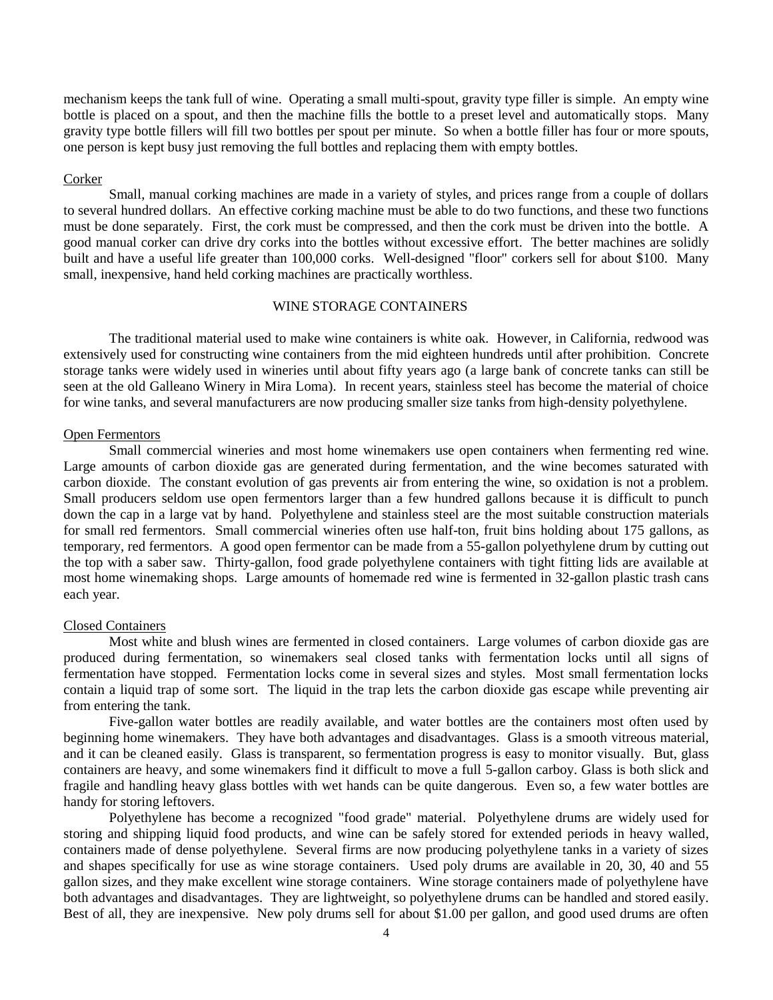mechanism keeps the tank full of wine. Operating a small multi-spout, gravity type filler is simple. An empty wine bottle is placed on a spout, and then the machine fills the bottle to a preset level and automatically stops. Many gravity type bottle fillers will fill two bottles per spout per minute. So when a bottle filler has four or more spouts, one person is kept busy just removing the full bottles and replacing them with empty bottles.

## Corker

Small, manual corking machines are made in a variety of styles, and prices range from a couple of dollars to several hundred dollars. An effective corking machine must be able to do two functions, and these two functions must be done separately. First, the cork must be compressed, and then the cork must be driven into the bottle. A good manual corker can drive dry corks into the bottles without excessive effort. The better machines are solidly built and have a useful life greater than 100,000 corks. Well-designed "floor" corkers sell for about \$100. Many small, inexpensive, hand held corking machines are practically worthless.

## WINE STORAGE CONTAINERS

The traditional material used to make wine containers is white oak. However, in California, redwood was extensively used for constructing wine containers from the mid eighteen hundreds until after prohibition. Concrete storage tanks were widely used in wineries until about fifty years ago (a large bank of concrete tanks can still be seen at the old Galleano Winery in Mira Loma). In recent years, stainless steel has become the material of choice for wine tanks, and several manufacturers are now producing smaller size tanks from high-density polyethylene.

#### Open Fermentors

Small commercial wineries and most home winemakers use open containers when fermenting red wine. Large amounts of carbon dioxide gas are generated during fermentation, and the wine becomes saturated with carbon dioxide. The constant evolution of gas prevents air from entering the wine, so oxidation is not a problem. Small producers seldom use open fermentors larger than a few hundred gallons because it is difficult to punch down the cap in a large vat by hand. Polyethylene and stainless steel are the most suitable construction materials for small red fermentors. Small commercial wineries often use half-ton, fruit bins holding about 175 gallons, as temporary, red fermentors. A good open fermentor can be made from a 55-gallon polyethylene drum by cutting out the top with a saber saw. Thirty-gallon, food grade polyethylene containers with tight fitting lids are available at most home winemaking shops. Large amounts of homemade red wine is fermented in 32-gallon plastic trash cans each year.

#### Closed Containers

Most white and blush wines are fermented in closed containers. Large volumes of carbon dioxide gas are produced during fermentation, so winemakers seal closed tanks with fermentation locks until all signs of fermentation have stopped. Fermentation locks come in several sizes and styles. Most small fermentation locks contain a liquid trap of some sort. The liquid in the trap lets the carbon dioxide gas escape while preventing air from entering the tank.

Five-gallon water bottles are readily available, and water bottles are the containers most often used by beginning home winemakers. They have both advantages and disadvantages. Glass is a smooth vitreous material, and it can be cleaned easily. Glass is transparent, so fermentation progress is easy to monitor visually. But, glass containers are heavy, and some winemakers find it difficult to move a full 5-gallon carboy. Glass is both slick and fragile and handling heavy glass bottles with wet hands can be quite dangerous. Even so, a few water bottles are handy for storing leftovers.

Polyethylene has become a recognized "food grade" material. Polyethylene drums are widely used for storing and shipping liquid food products, and wine can be safely stored for extended periods in heavy walled, containers made of dense polyethylene. Several firms are now producing polyethylene tanks in a variety of sizes and shapes specifically for use as wine storage containers. Used poly drums are available in 20, 30, 40 and 55 gallon sizes, and they make excellent wine storage containers. Wine storage containers made of polyethylene have both advantages and disadvantages. They are lightweight, so polyethylene drums can be handled and stored easily. Best of all, they are inexpensive. New poly drums sell for about \$1.00 per gallon, and good used drums are often